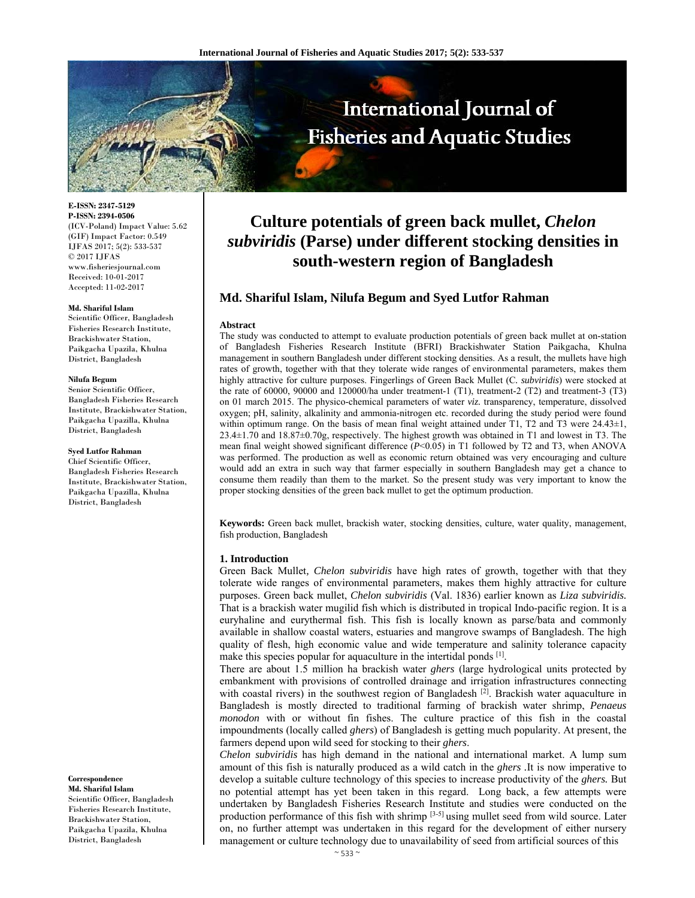

**E-ISSN: 2347-5129 P-ISSN: 2394-0506**  (ICV-Poland) Impact Value: 5.62 (GIF) Impact Factor: 0.549 IJFAS 2017; 5(2): 533-537  $\odot$  2017 IJFAS www.fisheriesjournal.com Received: 10-01-2017 Accepted: 11-02-2017

#### **Md. Shariful Islam**

Scientific Officer, Bangladesh Fisheries Research Institute, Brackishwater Station, Paikgacha Upazila, Khulna District, Bangladesh

#### **Nilufa Begum**

Senior Scientific Officer, Bangladesh Fisheries Research Institute, Brackishwater Station, Paikgacha Upazilla, Khulna District, Bangladesh

#### **Syed Lutfor Rahman**

Chief Scientific Officer, Bangladesh Fisheries Research Institute, Brackishwater Station, Paikgacha Upazilla, Khulna District, Bangladesh

**Correspondence Md. Shariful Islam** 

Scientific Officer, Bangladesh Fisheries Research Institute, Brackishwater Station, Paikgacha Upazila, Khulna District, Bangladesh

# **Culture potentials of green back mullet,** *Chelon subviridis* **(Parse) under different stocking densities in south-western region of Bangladesh**

# **Md. Shariful Islam, Nilufa Begum and Syed Lutfor Rahman**

## **Abstract**

The study was conducted to attempt to evaluate production potentials of green back mullet at on-station of Bangladesh Fisheries Research Institute (BFRI) Brackishwater Station Paikgacha, Khulna management in southern Bangladesh under different stocking densities. As a result, the mullets have high rates of growth, together with that they tolerate wide ranges of environmental parameters, makes them highly attractive for culture purposes. Fingerlings of Green Back Mullet (C*. subviridis*) were stocked at the rate of 60000, 90000 and 120000/ha under treatment-1 (T1), treatment-2 (T2) and treatment-3 (T3) on 01 march 2015. The physico-chemical parameters of water *viz.* transparency, temperature, dissolved oxygen; pH, salinity, alkalinity and ammonia-nitrogen etc. recorded during the study period were found within optimum range. On the basis of mean final weight attained under T1, T2 and T3 were 24.43±1, 23.4±1.70 and 18.87±0.70g, respectively. The highest growth was obtained in T1 and lowest in T3. The mean final weight showed significant difference (*P*<0.05) in T1 followed by T2 and T3, when ANOVA was performed. The production as well as economic return obtained was very encouraging and culture would add an extra in such way that farmer especially in southern Bangladesh may get a chance to consume them readily than them to the market. So the present study was very important to know the proper stocking densities of the green back mullet to get the optimum production.

**Keywords:** Green back mullet, brackish water, stocking densities, culture, water quality, management, fish production, Bangladesh

#### **1. Introduction**

Green Back Mullet*, Chelon subviridis* have high rates of growth, together with that they tolerate wide ranges of environmental parameters, makes them highly attractive for culture purposes. Green back mullet, *Chelon subviridis* (Val. 1836) earlier known as *Liza subviridis.*  That is a brackish water mugilid fish which is distributed in tropical Indo-pacific region. It is a euryhaline and eurythermal fish. This fish is locally known as parse/bata and commonly available in shallow coastal waters, estuaries and mangrove swamps of Bangladesh. The high quality of flesh, high economic value and wide temperature and salinity tolerance capacity make this species popular for aquaculture in the intertidal ponds <sup>[1]</sup>.

There are about 1.5 million ha brackish water *ghers* (large hydrological units protected by embankment with provisions of controlled drainage and irrigation infrastructures connecting with coastal rivers) in the southwest region of Bangladesh  $[2]$ . Brackish water aquaculture in Bangladesh is mostly directed to traditional farming of brackish water shrimp, *Penaeus monodon* with or without fin fishes. The culture practice of this fish in the coastal impoundments (locally called *ghers*) of Bangladesh is getting much popularity. At present, the farmers depend upon wild seed for stocking to their *ghers*.

*Chelon subviridis* has high demand in the national and international market. A lump sum amount of this fish is naturally produced as a wild catch in the *ghers .*It is now imperative to develop a suitable culture technology of this species to increase productivity of the *ghers.* But no potential attempt has yet been taken in this regard. Long back, a few attempts were undertaken by Bangladesh Fisheries Research Institute and studies were conducted on the production performance of this fish with shrimp [3-5] using mullet seed from wild source. Later on, no further attempt was undertaken in this regard for the development of either nursery management or culture technology due to unavailability of seed from artificial sources of this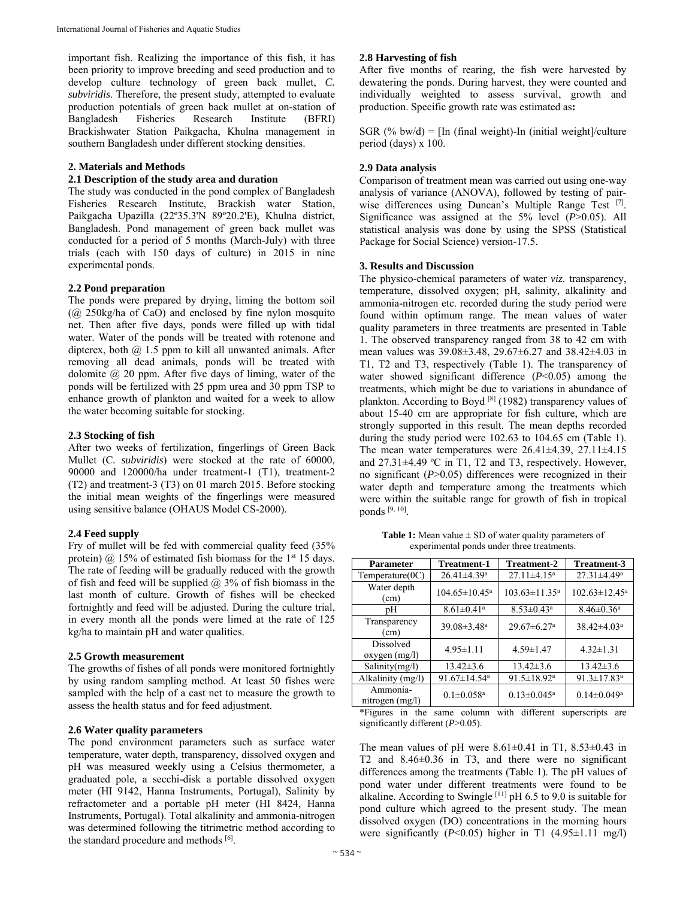important fish. Realizing the importance of this fish, it has been priority to improve breeding and seed production and to develop culture technology of green back mullet, *C. subviridis*. Therefore, the present study, attempted to evaluate production potentials of green back mullet at on-station of Bangladesh Fisheries Research Institute (BFRI) Brackishwater Station Paikgacha, Khulna management in southern Bangladesh under different stocking densities.

# **2. Materials and Methods**

## **2.1 Description of the study area and duration**

The study was conducted in the pond complex of Bangladesh Fisheries Research Institute, Brackish water Station, Paikgacha Upazilla (22º35.3'N 89º20.2'E), Khulna district, Bangladesh. Pond management of green back mullet was conducted for a period of 5 months (March-July) with three trials (each with 150 days of culture) in 2015 in nine experimental ponds.

## **2.2 Pond preparation**

The ponds were prepared by drying, liming the bottom soil (@ 250kg/ha of CaO) and enclosed by fine nylon mosquito net. Then after five days, ponds were filled up with tidal water. Water of the ponds will be treated with rotenone and dipterex, both  $(a)$  1.5 ppm to kill all unwanted animals. After removing all dead animals, ponds will be treated with dolomite  $\omega$  20 ppm. After five days of liming, water of the ponds will be fertilized with 25 ppm urea and 30 ppm TSP to enhance growth of plankton and waited for a week to allow the water becoming suitable for stocking.

#### **2.3 Stocking of fish**

After two weeks of fertilization, fingerlings of Green Back Mullet (C*. subviridis*) were stocked at the rate of 60000, 90000 and 120000/ha under treatment-1 (T1), treatment-2 (T2) and treatment-3 (T3) on 01 march 2015. Before stocking the initial mean weights of the fingerlings were measured using sensitive balance (OHAUS Model CS-2000).

# **2.4 Feed supply**

Fry of mullet will be fed with commercial quality feed (35% protein)  $\omega$  15% of estimated fish biomass for the 1<sup>st</sup> 15 days. The rate of feeding will be gradually reduced with the growth of fish and feed will be supplied  $\omega$  3% of fish biomass in the last month of culture. Growth of fishes will be checked fortnightly and feed will be adjusted. During the culture trial, in every month all the ponds were limed at the rate of 125 kg/ha to maintain pH and water qualities.

#### **2.5 Growth measurement**

The growths of fishes of all ponds were monitored fortnightly by using random sampling method. At least 50 fishes were sampled with the help of a cast net to measure the growth to assess the health status and for feed adjustment.

## **2.6 Water quality parameters**

The pond environment parameters such as surface water temperature, water depth, transparency, dissolved oxygen and pH was measured weekly using a Celsius thermometer, a graduated pole, a secchi-disk a portable dissolved oxygen meter (HI 9142, Hanna Instruments, Portugal), Salinity by refractometer and a portable pH meter (HI 8424, Hanna Instruments, Portugal). Total alkalinity and ammonia-nitrogen was determined following the titrimetric method according to the standard procedure and methods [6].

# **2.8 Harvesting of fish**

After five months of rearing, the fish were harvested by dewatering the ponds. During harvest, they were counted and individually weighted to assess survival, growth and production. Specific growth rate was estimated as**:** 

SGR (% bw/d) =  $\text{[In (final weight)}$ -In (initial weight)/culture period (days) x 100.

# **2.9 Data analysis**

Comparison of treatment mean was carried out using one-way analysis of variance (ANOVA), followed by testing of pairwise differences using Duncan's Multiple Range Test [7]. Significance was assigned at the 5% level (*P*>0.05). All statistical analysis was done by using the SPSS (Statistical Package for Social Science) version-17.5.

#### **3. Results and Discussion**

The physico-chemical parameters of water *viz.* transparency, temperature, dissolved oxygen; pH, salinity, alkalinity and ammonia-nitrogen etc. recorded during the study period were found within optimum range. The mean values of water quality parameters in three treatments are presented in Table 1. The observed transparency ranged from 38 to 42 cm with mean values was 39.08±3.48, 29.67±6.27 and 38.42±4.03 in T1, T2 and T3, respectively (Table 1). The transparency of water showed significant difference ( $P<0.05$ ) among the treatments, which might be due to variations in abundance of plankton. According to Boyd [8] (1982) transparency values of about 15-40 cm are appropriate for fish culture, which are strongly supported in this result. The mean depths recorded during the study period were 102.63 to 104.65 cm (Table 1). The mean water temperatures were  $26.41\pm4.39$ ,  $27.11\pm4.15$ and 27.31±4.49 ºC in T1, T2 and T3, respectively. However, no significant (*P*>0.05) differences were recognized in their water depth and temperature among the treatments which were within the suitable range for growth of fish in tropical ponds [9, 10].

**Table 1:** Mean value ± SD of water quality parameters of experimental ponds under three treatments.

| <b>Parameter</b>                  | <b>Treatment-1</b>             | <b>Treatment-2</b>            | Treatment-3                   |
|-----------------------------------|--------------------------------|-------------------------------|-------------------------------|
| $Temperature(0C)$                 | $26.41 \pm 4.39$ <sup>a</sup>  | $27.11 \pm 4.15$ <sup>a</sup> | $27.31 \pm 4.49$ <sup>a</sup> |
| Water depth<br>(cm)               | $104.65 \pm 10.45^a$           | $103.63 \pm 11.35^a$          | $102.63 \pm 12.45^a$          |
| pН                                | $8.61 \pm 0.41$ <sup>a</sup>   | $8.53 \pm 0.43$ <sup>a</sup>  | $8.46 \pm 0.36$ <sup>a</sup>  |
| Transparency<br>(cm)              | $39.08 \pm 3.48$ <sup>a</sup>  | $29.67 \pm 6.27$ <sup>a</sup> | $38.42 \pm 4.03^a$            |
| <b>Dissolved</b><br>oxygen (mg/l) | $4.95 \pm 1.11$                | $4.59 \pm 1.47$               | $4.32 \pm 1.31$               |
| Salinity(mg/l)                    | $13.42 \pm 3.6$                | $13.42 \pm 3.6$               | $13.42 \pm 3.6$               |
| Alkalinity (mg/l)                 | $91.67 \pm 14.54$ <sup>a</sup> | $91.5 \pm 18.92^a$            | $91.3 \pm 17.83$ <sup>a</sup> |
| Ammonia-<br>nitrogen $(mg/l)$     | $0.1 \pm 0.058$ <sup>a</sup>   | $0.13 \pm 0.045^a$            | $0.14 \pm 0.049$ <sup>a</sup> |

\*Figures in the same column with different superscripts are significantly different (*P*>0.05).

The mean values of pH were  $8.61\pm0.41$  in T1,  $8.53\pm0.43$  in T2 and 8.46±0.36 in T3, and there were no significant differences among the treatments (Table 1). The pH values of pond water under different treatments were found to be alkaline. According to Swingle  $[11]$  pH 6.5 to 9.0 is suitable for pond culture which agreed to the present study. The mean dissolved oxygen (DO) concentrations in the morning hours were significantly  $(P<0.05)$  higher in T1  $(4.95\pm1.11 \text{ mg/l})$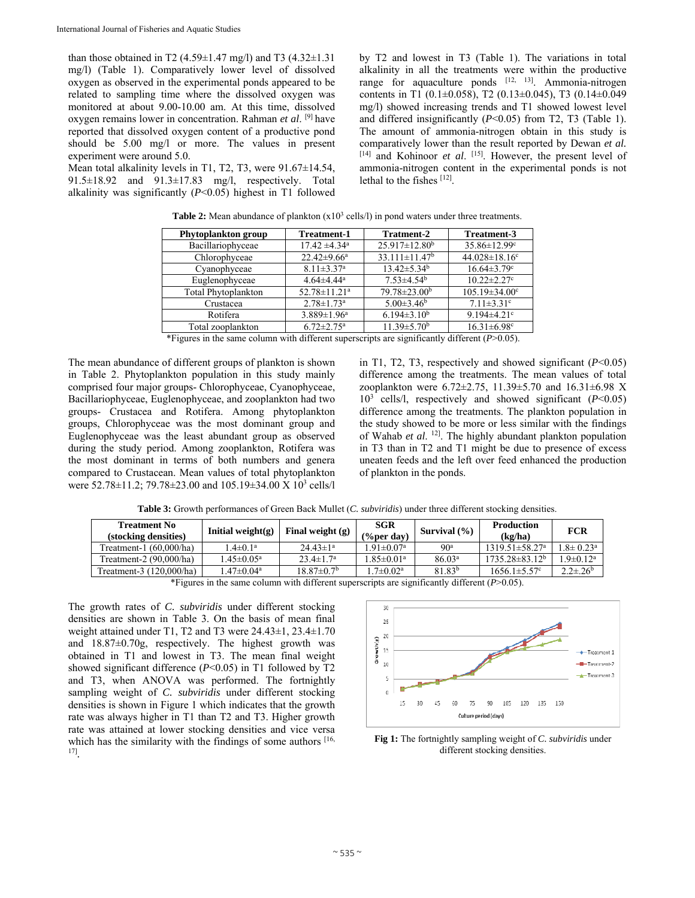than those obtained in T2 (4.59 $\pm$ 1.47 mg/l) and T3 (4.32 $\pm$ 1.31 mg/l) (Table 1). Comparatively lower level of dissolved oxygen as observed in the experimental ponds appeared to be related to sampling time where the dissolved oxygen was monitored at about 9.00-10.00 am. At this time, dissolved oxygen remains lower in concentration. Rahman *et al*. [9] have reported that dissolved oxygen content of a productive pond should be 5.00 mg/l or more. The values in present experiment were around 5.0.

Mean total alkalinity levels in T1, T2, T3, were 91.67±14.54, 91.5±18.92 and 91.3±17.83 mg/l, respectively. Total alkalinity was significantly (*P*<0.05) highest in T1 followed by T2 and lowest in T3 (Table 1). The variations in total alkalinity in all the treatments were within the productive range for aquaculture ponds  $[12, 13]$ . Ammonia-nitrogen contents in T1 (0.1±0.058), T2 (0.13±0.045), T3 (0.14±0.049 mg/l) showed increasing trends and T1 showed lowest level and differed insignificantly (*P*<0.05) from T2, T3 (Table 1). The amount of ammonia-nitrogen obtain in this study is comparatively lower than the result reported by Dewan *et al.*  [14] and Kohinoor *et al*. [15]. However, the present level of ammonia-nitrogen content in the experimental ponds is not lethal to the fishes [12].

| Phytoplankton group | <b>Treatment-1</b>            | <b>Tratment-2</b>               | Treatment-3                     |
|---------------------|-------------------------------|---------------------------------|---------------------------------|
| Bacillariophyceae   | $17.42 \pm 4.34$ <sup>a</sup> | $25.917 \pm 12.80^b$            | 35.86±12.99c                    |
| Chlorophyceae       | $22.42 \pm 9.66^a$            | $33.111 \pm 11.47$ <sup>b</sup> | 44.028 $\pm$ 18.16 <sup>c</sup> |
| Cyanophyceae        | $8.11 \pm 3.37$ <sup>a</sup>  | $13.42 \pm 5.34^b$              | $16.64 \pm 3.79$ <sup>c</sup>   |
| Euglenophyceae      | $4.64{\pm}4.44^a$             | $7.53 \pm 4.54$ <sup>b</sup>    | $10.22 \pm 2.27$ °              |
| Total Phytoplankton | 52.78±11.21 <sup>a</sup>      | 79.78±23.00 <sup>b</sup>        | $105.19 \pm 34.00^{\circ}$      |
| Crustacea           | $2.78 \pm 1.73$ <sup>a</sup>  | $5.00\pm3.46^b$                 | $7.11 \pm 3.31$ °               |
| Rotifera            | $3.889 \pm 1.96^a$            | $6.194\pm3.10^b$                | $9.194 \pm 4.21$ °              |
| Total zooplankton   | $6.72 \pm 2.75$ <sup>a</sup>  | $11.39 \pm 5.70^{\rm b}$        | $16.31 \pm 6.98$ <sup>c</sup>   |

**Table 2:** Mean abundance of plankton (x10<sup>3</sup> cells/l) in pond waters under three treatments.

\*Figures in the same column with different superscripts are significantly different (*P*>0.05).

The mean abundance of different groups of plankton is shown in Table 2. Phytoplankton population in this study mainly comprised four major groups- Chlorophyceae, Cyanophyceae, Bacillariophyceae, Euglenophyceae, and zooplankton had two groups- Crustacea and Rotifera. Among phytoplankton groups, Chlorophyceae was the most dominant group and Euglenophyceae was the least abundant group as observed during the study period. Among zooplankton, Rotifera was the most dominant in terms of both numbers and genera compared to Crustacean. Mean values of total phytoplankton were 52.78±11.2; 79.78±23.00 and 105.19±34.00 X 10<sup>3</sup> cells/l in T1, T2, T3, respectively and showed significant (*P*<0.05) difference among the treatments. The mean values of total zooplankton were 6.72±2.75, 11.39±5.70 and 16.31±6.98 X 103 cells/l, respectively and showed significant (*P*<0.05) difference among the treatments. The plankton population in the study showed to be more or less similar with the findings of Wahab *et al*. 12]. The highly abundant plankton population in T3 than in T2 and T1 might be due to presence of excess uneaten feeds and the left over feed enhanced the production of plankton in the ponds.

| <b>Treatment No</b><br>(stocking densities) | Initial weight $(g)$     | Final weight $(g)$           | <b>SGR</b><br>$(\%$ per day  | Survival $(\% )$            | <b>Production</b><br>(kg/ha)              | <b>FCR</b>            |
|---------------------------------------------|--------------------------|------------------------------|------------------------------|-----------------------------|-------------------------------------------|-----------------------|
| Treatment-1 $(60.000/ha)$                   | $1.4 \pm 0.1^a$          | $24.43 \pm 1^a$              | $1.91 \pm 0.07$ <sup>a</sup> | 90 <sup>a</sup>             | $1319.51 \pm 58.27$ <sup>a</sup>          | $.8 \pm 0.23^{\circ}$ |
| Treatment-2 $(90,000/ha)$                   | $45 \pm 0.05^{\text{a}}$ | $23.4 \pm 1.7^{\rm a}$       | $1.85 \pm 0.01$ <sup>a</sup> | 86.03 <sup>a</sup>          | 1735.28±83.12 <sup>b</sup>                | $.9 \pm 0.12^a$       |
| Treatment-3 (120,000/ha)                    | . .47 $\pm$ 0.04a $\pm$  | $18.87 \pm 0.7$ <sup>b</sup> | $1.7 \pm 0.02^{\text{a}}$    | 81.83 <sup>b</sup>          | $1656.1 \pm 5.57$ °                       | $2.2 \pm .26^b$       |
| $\sim$ $\sim$ $\sim$ $\sim$                 |                          |                              |                              | $\sim$ $\sim$ $\sim$ $\sim$ | $\sim$ $\sim$ $\sim$ $\sim$ $\sim$ $\sim$ |                       |

**Table 3:** Growth performances of Green Back Mullet (*C. subviridis*) under three different stocking densities.

\*Figures in the same column with different superscripts are significantly different (*P*>0.05).

The growth rates of *C. subviridis* under different stocking densities are shown in Table 3. On the basis of mean final weight attained under T1, T2 and T3 were 24.43±1, 23.4±1.70 and 18.87±0.70g, respectively. The highest growth was obtained in T1 and lowest in T3. The mean final weight showed significant difference (*P*<0.05) in T1 followed by T2 and T3, when ANOVA was performed. The fortnightly sampling weight of *C. subviridis* under different stocking densities is shown in Figure 1 which indicates that the growth rate was always higher in T1 than T2 and T3. Higher growth rate was attained at lower stocking densities and vice versa which has the similarity with the findings of some authors [16, 17]*.*



**Fig 1:** The fortnightly sampling weight of *C. subviridis* under different stocking densities.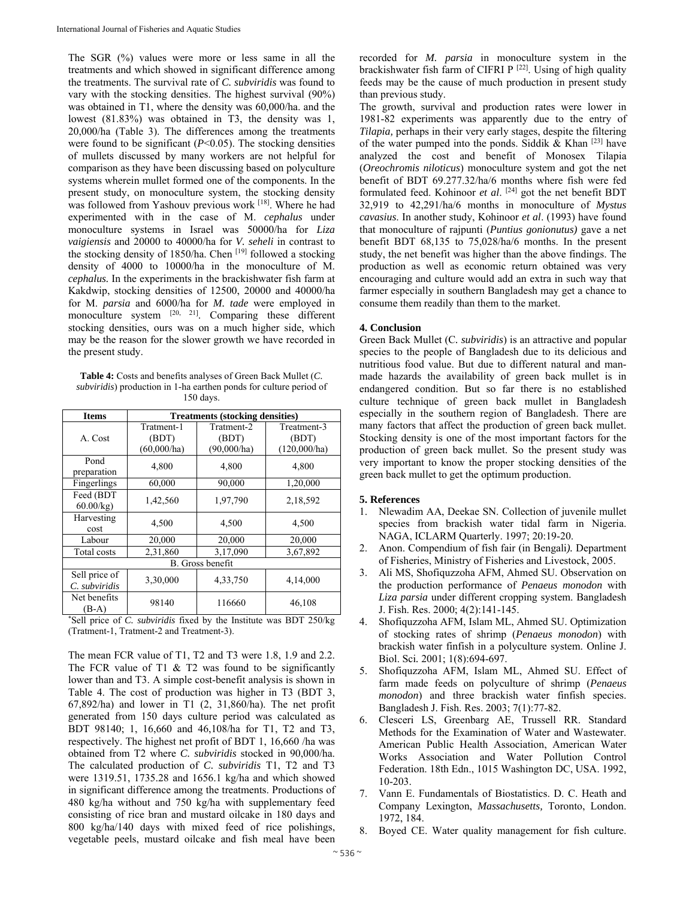The SGR (%) values were more or less same in all the treatments and which showed in significant difference among the treatments. The survival rate of *C. subviridis* was found to vary with the stocking densities. The highest survival (90%) was obtained in T1, where the density was 60,000/ha. and the lowest (81.83%) was obtained in T3, the density was 1, 20,000/ha (Table 3). The differences among the treatments were found to be significant  $(P<0.05)$ . The stocking densities of mullets discussed by many workers are not helpful for comparison as they have been discussing based on polyculture systems wherein mullet formed one of the components. In the present study, on monoculture system, the stocking density was followed from Yashouv previous work [18]. Where he had experimented with in the case of M. *cephalus* under monoculture systems in Israel was 50000/ha for *Liza vaigiensis* and 20000 to 40000/ha for *V. seheli* in contrast to the stocking density of 1850/ha. Chen [19] followed a stocking density of 4000 to 10000/ha in the monoculture of M. *cephalus.* In the experiments in the brackishwater fish farm at Kakdwip, stocking densities of 12500, 20000 and 40000/ha for M. *parsia* and 6000/ha for *M. tade* were employed in monoculture system [20, 21]. Comparing these different stocking densities, ours was on a much higher side, which may be the reason for the slower growth we have recorded in the present study.

**Table 4:** Costs and benefits analyses of Green Back Mullet (*C. subviridis*) production in 1-ha earthen ponds for culture period of 150 days.

| <b>Items</b>                   | <b>Treatments (stocking densities)</b> |                                    |                                      |  |
|--------------------------------|----------------------------------------|------------------------------------|--------------------------------------|--|
| A. Cost                        | Tratment-1<br>(BDT)<br>(60,000/ha)     | Tratment-2<br>(BDT)<br>(90,000/ha) | Treatment-3<br>(BDT)<br>(120,000/ha) |  |
| Pond<br>preparation            | 4,800                                  | 4,800                              | 4,800                                |  |
| Fingerlings                    | 60,000                                 | 90,000                             | 1,20,000                             |  |
| Feed (BDT<br>60.00/kg          | 1,42,560                               | 1,97,790                           | 2,18,592                             |  |
| Harvesting<br>cost             | 4,500                                  | 4,500                              | 4,500                                |  |
| Labour                         | 20,000                                 | 20,000                             | 20,000                               |  |
| Total costs                    | 2,31,860                               | 3,17,090                           | 3,67,892                             |  |
| <b>B.</b> Gross benefit        |                                        |                                    |                                      |  |
| Sell price of<br>C. subviridis | 3,30,000                               | 4,33,750                           | 4,14,000                             |  |
| Net benefits<br>$(B-A)$        | 98140                                  | 116660                             | 46,108                               |  |

\* Sell price of *C. subviridis* fixed by the Institute was BDT 250/kg (Tratment-1, Tratment-2 and Treatment-3).

The mean FCR value of T1, T2 and T3 were 1.8, 1.9 and 2.2. The FCR value of T1  $\&$  T2 was found to be significantly lower than and T3. A simple cost-benefit analysis is shown in Table 4. The cost of production was higher in T3 (BDT 3, 67,892/ha) and lower in T1 (2, 31,860/ha). The net profit generated from 150 days culture period was calculated as BDT 98140; 1, 16,660 and 46,108/ha for T1, T2 and T3, respectively. The highest net profit of BDT 1, 16,660 /ha was obtained from T2 where *C. subviridis* stocked in 90,000/ha. The calculated production of *C. subviridis* T1, T2 and T3 were 1319.51, 1735.28 and 1656.1 kg/ha and which showed in significant difference among the treatments. Productions of 480 kg/ha without and 750 kg/ha with supplementary feed consisting of rice bran and mustard oilcake in 180 days and 800 kg/ha/140 days with mixed feed of rice polishings, vegetable peels, mustard oilcake and fish meal have been

recorded for *M. parsia* in monoculture system in the brackishwater fish farm of CIFRI P  $[22]$ . Using of high quality feeds may be the cause of much production in present study than previous study.

The growth, survival and production rates were lower in 1981-82 experiments was apparently due to the entry of *Tilapia,* perhaps in their very early stages, despite the filtering of the water pumped into the ponds. Siddik & Khan  $[23]$  have analyzed the cost and benefit of Monosex Tilapia (*Oreochromis niloticus*) monoculture system and got the net benefit of BDT 69.277.32/ha/6 months where fish were fed formulated feed. Kohinoor *et al*. [24] got the net benefit BDT 32,919 to 42,291/ha/6 months in monoculture of *Mystus cavasius*. In another study, Kohinoor *et al*. (1993) have found that monoculture of rajpunti (*Puntius gonionutus)* gave a net benefit BDT 68,135 to 75,028/ha/6 months. In the present study, the net benefit was higher than the above findings. The production as well as economic return obtained was very encouraging and culture would add an extra in such way that farmer especially in southern Bangladesh may get a chance to consume them readily than them to the market.

# **4. Conclusion**

Green Back Mullet (C*. subviridis*) is an attractive and popular species to the people of Bangladesh due to its delicious and nutritious food value. But due to different natural and manmade hazards the availability of green back mullet is in endangered condition. But so far there is no established culture technique of green back mullet in Bangladesh especially in the southern region of Bangladesh. There are many factors that affect the production of green back mullet. Stocking density is one of the most important factors for the production of green back mullet. So the present study was very important to know the proper stocking densities of the green back mullet to get the optimum production.

#### **5. References**

- 1. Nlewadim AA, Deekae SN. Collection of juvenile mullet species from brackish water tidal farm in Nigeria. NAGA, ICLARM Quarterly. 1997; 20:19-20.
- 2. Anon. Compendium of fish fair (in Bengali*).* Department of Fisheries, Ministry of Fisheries and Livestock, 2005.
- 3. Ali MS, Shofiquzzoha AFM, Ahmed SU. Observation on the production performance of *Penaeus monodon* with *Liza parsia* under different cropping system. Bangladesh J. Fish. Res. 2000; 4(2):141-145.
- 4. Shofiquzzoha AFM, Islam ML, Ahmed SU. Optimization of stocking rates of shrimp (*Penaeus monodon*) with brackish water finfish in a polyculture system. Online J. Biol. Sci*.* 2001; 1(8):694-697.
- 5. Shofiquzzoha AFM, Islam ML, Ahmed SU. Effect of farm made feeds on polyculture of shrimp (*Penaeus monodon*) and three brackish water finfish species. Bangladesh J. Fish. Res. 2003; 7(1):77-82.
- 6. Clesceri LS, Greenbarg AE, Trussell RR. Standard Methods for the Examination of Water and Wastewater. American Public Health Association, American Water Works Association and Water Pollution Control Federation. 18th Edn., 1015 Washington DC, USA. 1992, 10-203.
- 7. Vann E. Fundamentals of Biostatistics. D. C. Heath and Company Lexington, *Massachusetts,* Toronto, London. 1972, 184.
- 8. Boyed CE. Water quality management for fish culture.